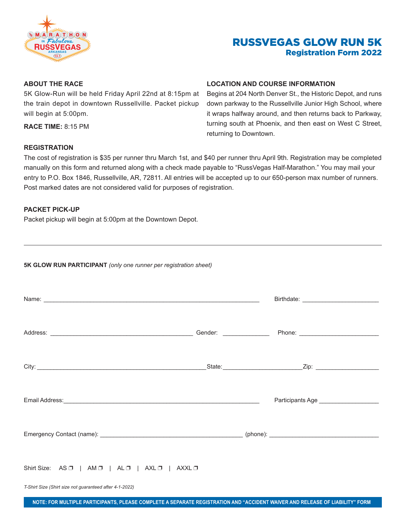

# RUSSVEGAS GLOW RUN 5K Registration Form 2022

### **ABOUT THE RACE**

5K Glow-Run will be held Friday April 22nd at 8:15pm at the train depot in downtown Russellville. Packet pickup will begin at 5:00pm.

**RACE TIME:** 8:15 PM

#### **LOCATION AND COURSE INFORMATION**

Begins at 204 North Denver St., the Historic Depot, and runs down parkway to the Russellville Junior High School, where it wraps halfway around, and then returns back to Parkway, turning south at Phoenix, and then east on West C Street, returning to Downtown.

### **REGISTRATION**

The cost of registration is \$35 per runner thru March 1st, and \$40 per runner thru April 9th. Registration may be completed manually on this form and returned along with a check made payable to "RussVegas Half-Marathon." You may mail your entry to P.O. Box 1846, Russellville, AR, 72811. All entries will be accepted up to our 650-person max number of runners. Post marked dates are not considered valid for purposes of registration.

#### **PACKET PICK-UP**

Packet pickup will begin at 5:00pm at the Downtown Depot.

| 5K GLOW RUN PARTICIPANT (only one runner per registration sheet)                                                                                                                                                                    |  |  |
|-------------------------------------------------------------------------------------------------------------------------------------------------------------------------------------------------------------------------------------|--|--|
| Name: <u>example</u> and the contract of the contract of the contract of the contract of the contract of the contract of the contract of the contract of the contract of the contract of the contract of the contract of the contra |  |  |
|                                                                                                                                                                                                                                     |  |  |
|                                                                                                                                                                                                                                     |  |  |
|                                                                                                                                                                                                                                     |  |  |
|                                                                                                                                                                                                                                     |  |  |
|                                                                                                                                                                                                                                     |  |  |

Shirt Size:  $AS \Box$  | AM  $\Box$  | AL  $\Box$  | AXL  $\Box$  | AXXL  $\Box$ 

*T-Shirt Size (Shirt size not guaranteed after 4-1-2022)*